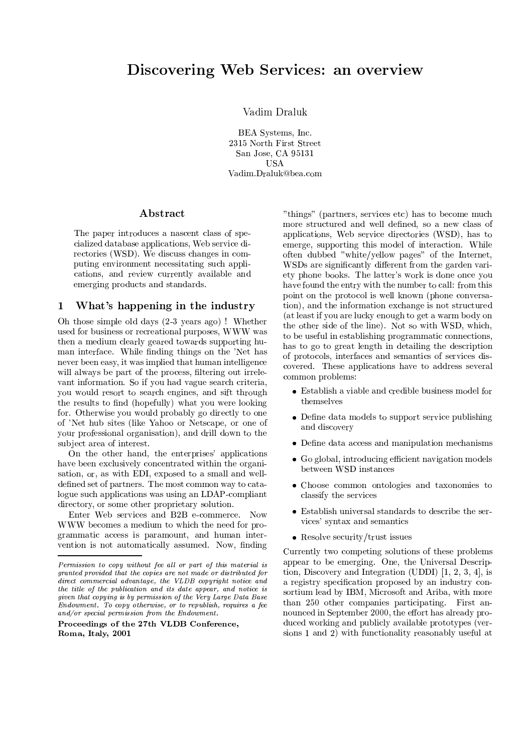# Discovering Web Services: an overview

Vadim Draluk

BEA Systems, Inc. 2315 North First Street San Jose, CA 95131 **USA** Vadim.Draluk@bea.com

### Abstract

The paper introduces a nascent class of specialized database applications, Web service directories (WSD). We discuss changes in computing environment necessitating such applications, and review currently available and emerging products and standards.

#### $\mathbf{1}$ What's happening in the industry

Oh those simple old days (2-3 years ago)! Whether used for business or recreational purposes, WWW was then a medium clearly geared towards supporting human interface. While finding things on the 'Net has never been easy, it was implied that human intelligence will always be part of the process, filtering out irrelevant information. So if you had vague search criteria, you would resort to search engines, and sift through the results to find (hopefully) what you were looking for. Otherwise you would probably go directly to one of 'Net hub sites (like Yahoo or Netscape, or one of your professional organisation), and drill down to the subject area of interest.

On the other hand, the enterprises' applications have been exclusively concentrated within the organisation, or, as with EDI, exposed to a small and welldefined set of partners. The most common way to catalogue such applications was using an LDAP-compliant directory, or some other proprietary solution.

Enter Web services and B2B e-commerce. Now WWW becomes a medium to which the need for programmatic access is paramount, and human intervention is not automatically assumed. Now, finding

"things" (partners, services etc) has to become much more structured and well defined, so a new class of applications, Web service directories (WSD), has to emerge, supporting this model of interaction. While often dubbed "white/yellow pages" of the Internet, WSDs are significantly different from the garden variety phone books. The latter's work is done once you have found the entry with the number to call: from this point on the protocol is well known (phone conversation), and the information exchange is not structured (at least if you are lucky enough to get a warm body on the other side of the line). Not so with WSD, which, to be useful in establishing programmatic connections, has to go to great length in detailing the description of protocols, interfaces and semantics of services discovered. These applications have to address several common problems:

- Establish a viable and credible business model for themselves
- Define data models to support service publishing and discovery
- Define data access and manipulation mechanisms
- Go global, introducing efficient navigation models between WSD instances
- Choose common ontologies and taxonomies to classify the services
- Establish universal standards to describe the services' syntax and semantics
- Resolve security/trust issues

Currently two competing solutions of these problems appear to be emerging. One, the Universal Description, Discovery and Integration (UDDI)  $[1, 2, 3, 4]$ , is a registry specification proposed by an industry consortium lead by IBM, Microsoft and Ariba, with more than 250 other companies participating. First announced in September 2000, the effort has already produced working and publicly available prototypes (versions 1 and 2) with functionality reasonably useful at

Permission to copy without fee all or part of this material is granted provided that the copies are not made or distributed for direct commercial advantage, the VLDB copyright notice and the title of the publication and its date appear, and notice is given that copying is by permission of the Very Large Data Base Endowment. To copy otherwise, or to republish, requires a fee and/or special permission from the  $End_{\text{o}}$  ument.

Proceedings of the 27th VLDB Conference, Roma, Italy, 2001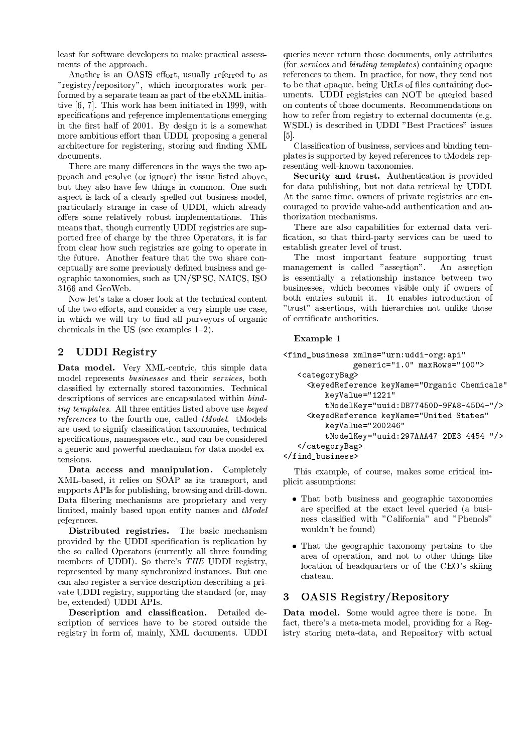least for software developers to make practical assessments of the approach.

Another is an OASIS effort, usually referred to as "registry/repository", which incorporates work performed by a separate team as part of the ebXML initiative [6, 7]. This work has been initiated in 1999, with specifications and reference implementations emerging in the first half of 2001. By design it is a somewhat more ambitious effort than UDDI, proposing a general architecture for registering, storing and finding XML documents.

There are many differences in the ways the two approach and resolve (or ignore) the issue listed above, but they also have few things in common. One such aspect is lack of a clearly spelled out business model, particularly strange in case of UDDI, which already offers some relatively robust implementations. This means that, though currently UDDI registries are supported free of charge by the three Operators, it is far from clear how such registries are going to operate in the future. Another feature that the two share conceptually are some previously defined business and geographic taxonomies, such as UN/SPSC, NAICS, ISO 3166 and GeoWeb.

Now let's take a closer look at the technical content of the two efforts, and consider a very simple use case. in which we will try to find all purveyors of organic chemicals in the US (see examples  $1-2$ ).

#### $\overline{2}$ **UDDI** Registry

Data model. Very XML-centric, this simple data model represents *businesses* and their *services*, both classified by externally stored taxonomies. Technical descriptions of services are encapsulated within bind*ing templates.* All three entities listed above use keyed *references* to the fourth one, called *tModel*. tModels are used to signify classification taxonomies, technical specifications, namespaces etc., and can be considered a generic and powerful mechanism for data model extensions.

Data access and manipulation. Completely XML-based, it relies on SOAP as its transport, and supports APIs for publishing, browsing and drill-down. Data filtering mechanisms are proprietary and very limited, mainly based upon entity names and tModel references.

Distributed registries. The basic mechanism provided by the UDDI specification is replication by the so called Operators (currently all three founding members of UDDI). So there's THE UDDI registry, represented by many synchronized instances. But one can also register a service description describing a private UDDI registry, supporting the standard (or, may be, extended) UDDI APIs.

Description and classification. Detailed description of services have to be stored outside the registry in form of, mainly, XML documents. UDDI

queries never return those documents, only attributes (for *services* and *binding templates*) containing opaque references to them. In practice, for now, they tend not to be that opaque, being URLs of files containing documents. UDDI registries can NOT be queried based on contents of those documents. Recommendations on how to refer from registry to external documents (e.g. WSDL) is described in UDDI "Best Practices" issues  $|5|$ 

Classification of business, services and binding templates is supported by keved references to tModels representing well-known taxonomies.

Security and trust. Authentication is provided for data publishing, but not data retrieval by UDDI. At the same time, owners of private registries are encouraged to provide value-add authentication and authorization mechanisms.

There are also capabilities for external data verification, so that third-party services can be used to establish greater level of trust.

The most important feature supporting trust management is called "assertion". An assertion is essentially a relationship instance between two businesses, which becomes visible only if owners of both entries submit it. It enables introduction of "trust" assertions, with hierarchies not unlike those of certificate authorities.

### Example 1

```
<find_business xmlns="urn:uddi-org:api"
               generic="1.0" maxRows="100">
   <categoryBag>
     <keyedReference keyName="Organic Chemicals"
        keyValue="1221"
        tModelKey="uuid:DB77450D-9FA8-45D4-"/>
     <keyedReference keyName="United States"
        keyValue="200246"
         tModelKey="uuid:297AAA47-2DE3-4454-"/>
   </categoryBag>
</find business>
```
This example, of course, makes some critical implicit assumptions:

- That both business and geographic taxonomies are specified at the exact level queried (a business classified with "California" and "Phenols" wouldn't be found)
- That the geographic taxonomy pertains to the area of operation, and not to other things like location of headquarters or of the CEO's skiing chateau.

### 3 **OASIS Registry/Repository**

Data model. Some would agree there is none. In fact, there's a meta-meta model, providing for a Registry storing meta-data, and Repository with actual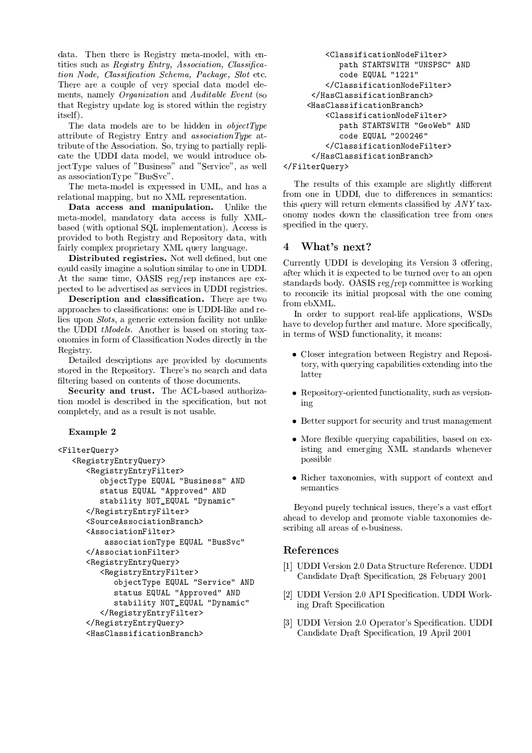data. Then there is Registry meta-model, with entities such as *Registry Entry, Association, Classifica*tion Node, Classification Schema, Package, Slot etc. There are a couple of very special data model elements, namely *Organization* and *Auditable Event* (so that Registry update log is stored within the registry  $itself)$ 

The data models are to be hidden in  $objectType$ attribute of Registry Entry and *associationType* attribute of the Association. So, trying to partially replicate the UDDI data model, we would introduce objectType values of "Business" and "Service", as well as association Type "BusSvc".

The meta-model is expressed in UML, and has a relational mapping, but no XML representation.

Data access and manipulation. Unlike the meta-model, mandatory data access is fully XMLbased (with optional SQL implementation). Access is provided to both Registry and Repository data, with fairly complex proprietary XML query language.

Distributed registries. Not well defined, but one could easily imagine a solution similar to one in UDDI. At the same time, OASIS reg/rep instances are expected to be advertised as services in UDDI registries.

Description and classification. There are two approaches to classifications: one is UDDI-like and relies upon *Slots*, a generic extension facility not unlike the UDDI tModels. Another is based on storing taxonomies in form of Classification Nodes directly in the Registry.

Detailed descriptions are provided by documents stored in the Repository. There's no search and data filtering based on contents of those documents.

Security and trust. The ACL-based authorization model is described in the specification, but not completely, and as a result is not usable.

### Example 2

```
<FilterQuery>
   <RegistryEntryQuery>
      <RegistryEntryFilter>
         objectType EQUAL "Business" AND
         status EQUAL "Approved" AND
         stability NOT_EQUAL "Dynamic"
      </RegistryEntryFilter>
      <SourceAssociationBranch>
      <AssociationFilter>
          associationType EQUAL "BusSvc"
      </AssociationFilter>
      <RegistryEntryQuery>
         <RegistryEntryFilter>
            objectType EQUAL "Service" AND
            status EQUAL "Approved" AND
            stability NOT_EQUAL "Dynamic"
         </RegistryEntryFilter>
      </RegistryEntryQuery>
      <HasClassificationBranch>
```

```
<ClassificationNodeFilter>
      path STARTSWITH "UNSPSC" AND
      code EQUAL "1221"
   </ClassificationNodeFilter>
 </HasClassificationBranch>
<HasClassificationBranch>
    <ClassificationNodeFilter>
      path STARTSWITH "GeoWeb" AND
      code EQUAL "200246"
    </ClassificationNodeFilter>
 </HasClassificationBranch>
```

```
</FilterQuery>
```
The results of this example are slightly different from one in UDDI, due to differences in semantics: this query will return elements classified by ANY taxonomy nodes down the classification tree from ones specified in the query.

### What's next?  $\overline{\mathbf{4}}$

Currently UDDI is developing its Version 3 offering, after which it is expected to be turned over to an open standards body. OASIS reg/rep committee is working to reconcile its initial proposal with the one coming from ebXML.

In order to support real-life applications, WSDs have to develop further and mature. More specifically, in terms of WSD functionality, it means:

- Closer integration between Registry and Repository, with querying capabilities extending into the latter
- Repository-oriented functionality, such as versioning
- Better support for security and trust management
- More flexible querying capabilities, based on existing and emerging XML standards whenever possible
- Richer taxonomies, with support of context and semantics

Beyond purely technical issues, there's a vast effort ahead to develop and promote viable taxonomies describing all areas of e-business.

## References

- [1] UDDI Version 2.0 Data Structure Reference. UDDI Candidate Draft Specification, 28 February 2001
- [2] UDDI Version 2.0 API Specification. UDDI Working Draft Specification
- [3] UDDI Version 2.0 Operator's Specification. UDDI Candidate Draft Specification, 19 April 2001